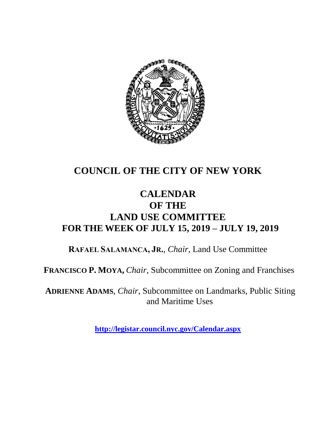

## **COUNCIL OF THE CITY OF NEW YORK**

## **CALENDAR OF THE LAND USE COMMITTEE FOR THE WEEK OF JULY 15, 2019 – JULY 19, 2019**

**RAFAEL SALAMANCA, JR.**, *Chair*, Land Use Committee

**FRANCISCO P. MOYA,** *Chair,* Subcommittee on Zoning and Franchises

**ADRIENNE ADAMS**, *Chair*, Subcommittee on Landmarks, Public Siting and Maritime Uses

**<http://legistar.council.nyc.gov/Calendar.aspx>**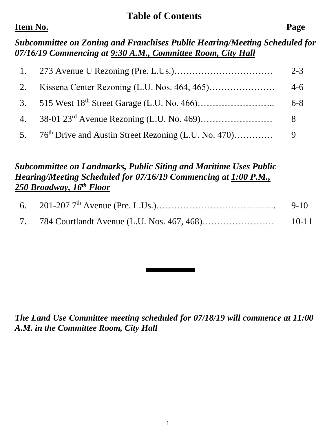#### **Table of Contents**

### **Item No. Page**

*Subcommittee on Zoning and Franchises Public Hearing/Meeting Scheduled for 07/16/19 Commencing at 9:30 A.M., Committee Room, City Hall*

|    | $2 - 3$ |
|----|---------|
| 2. | $4-6$   |
|    | $6 - 8$ |
| 4. | 8       |
|    |         |

### *Subcommittee on Landmarks, Public Siting and Maritime Uses Public Hearing/Meeting Scheduled for 07/16/19 Commencing at 1:00 P.M., 250 Broadway, 16th Floor*

|                                               | $9-10$ |
|-----------------------------------------------|--------|
| 7. 784 Courtlandt Avenue (L.U. Nos. 467, 468) | 10-11  |

*The Land Use Committee meeting scheduled for 07/18/19 will commence at 11:00 A.M. in the Committee Room, City Hall*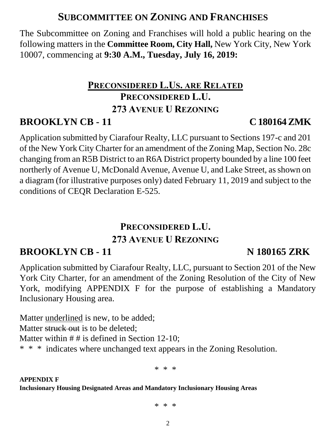## **SUBCOMMITTEE ON ZONING AND FRANCHISES**

The Subcommittee on Zoning and Franchises will hold a public hearing on the following matters in the **Committee Room, City Hall,** New York City, New York 10007, commencing at **9:30 A.M., Tuesday, July 16, 2019:**

# **PRECONSIDERED L.US. ARE RELATED PRECONSIDERED L.U. 273 AVENUE U REZONING**

## **BROOKLYN CB - 11 C 180164 ZMK**

Application submitted by Ciarafour Realty, LLC pursuant to Sections 197-c and 201 of the New York City Charter for an amendment of the Zoning Map, Section No. 28c changing from an R5B District to an R6A District property bounded by a line 100 feet northerly of Avenue U, McDonald Avenue, Avenue U, and Lake Street, as shown on a diagram (for illustrative purposes only) dated February 11, 2019 and subject to the conditions of CEQR Declaration E-525.

## **PRECONSIDERED L.U. 273 AVENUE U REZONING**

# **BROOKLYN CB - 11 N 180165 ZRK**

Application submitted by Ciarafour Realty, LLC, pursuant to Section 201 of the New York City Charter, for an amendment of the Zoning Resolution of the City of New York, modifying APPENDIX F for the purpose of establishing a Mandatory Inclusionary Housing area.

Matter underlined is new, to be added; Matter struck out is to be deleted: Matter within  $# #$  is defined in Section 12-10; \* \* \* indicates where unchanged text appears in the Zoning Resolution.

\* \* \*

**APPENDIX F Inclusionary Housing Designated Areas and Mandatory Inclusionary Housing Areas** 

\* \* \*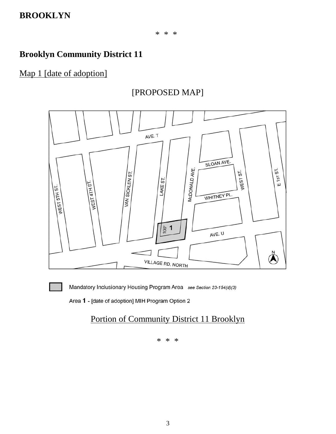## **Brooklyn Community District 11**

#### Map 1 [date of adoption]

#### [PROPOSED MAP]



Mandatory Inclusionary Housing Program Area see Section 23-154(d)(3)

Area 1 - [date of adoption] MIH Program Option 2

#### Portion of Community District 11 Brooklyn

\* \* \*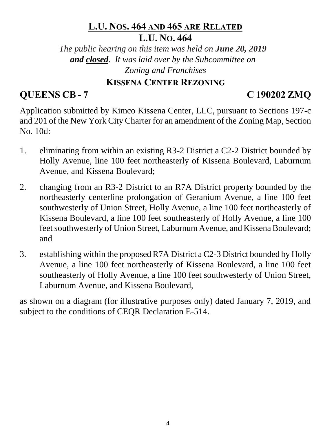## **L.U. NOS. 464 AND 465 ARE RELATED L.U. NO. 464**

*The public hearing on this item was held on June 20, 2019 and closed. It was laid over by the Subcommittee on Zoning and Franchises*

### **KISSENA CENTER REZONING**

## **QUEENS CB - 7 C 190202 ZMQ**

Application submitted by Kimco Kissena Center, LLC, pursuant to Sections 197-c and 201 of the New York City Charter for an amendment of the Zoning Map, Section No. 10d:

- 1. eliminating from within an existing R3-2 District a C2-2 District bounded by Holly Avenue, line 100 feet northeasterly of Kissena Boulevard, Laburnum Avenue, and Kissena Boulevard;
- 2. changing from an R3-2 District to an R7A District property bounded by the northeasterly centerline prolongation of Geranium Avenue, a line 100 feet southwesterly of Union Street, Holly Avenue, a line 100 feet northeasterly of Kissena Boulevard, a line 100 feet southeasterly of Holly Avenue, a line 100 feet southwesterly of Union Street, Laburnum Avenue, and Kissena Boulevard; and
- 3. establishing within the proposed R7A District a C2-3 District bounded by Holly Avenue, a line 100 feet northeasterly of Kissena Boulevard, a line 100 feet southeasterly of Holly Avenue, a line 100 feet southwesterly of Union Street, Laburnum Avenue, and Kissena Boulevard,

as shown on a diagram (for illustrative purposes only) dated January 7, 2019, and subject to the conditions of CEQR Declaration E-514.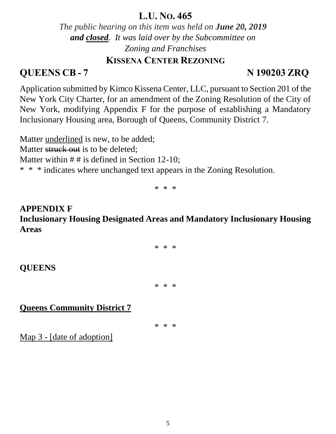### **L.U. NO. 465**

*The public hearing on this item was held on June 20, 2019 and closed. It was laid over by the Subcommittee on Zoning and Franchises*

#### **KISSENA CENTER REZONING**

## **QUEENS CB - 7 N 190203 ZRQ**

Application submitted by Kimco Kissena Center, LLC, pursuant to Section 201 of the New York City Charter, for an amendment of the Zoning Resolution of the City of New York, modifying Appendix F for the purpose of establishing a Mandatory Inclusionary Housing area, Borough of Queens, Community District 7.

Matter underlined is new, to be added;

Matter struck out is to be deleted:

Matter within  $# #$  is defined in Section 12-10;

\* \* \* indicates where unchanged text appears in the Zoning Resolution.

\* \* \*

### **APPENDIX F Inclusionary Housing Designated Areas and Mandatory Inclusionary Housing Areas**

\* \* \*

#### **QUEENS**

\* \* \*

### **Queens Community District 7**

\* \* \*

Map 3 - [date of adoption]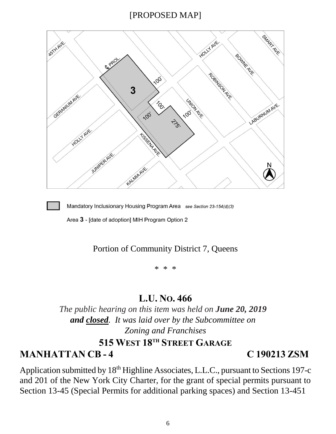#### [PROPOSED MAP]





Mandatory Inclusionary Housing Program Area see Section 23-154(d)(3)

Area 3 - [date of adoption] MIH Program Option 2

#### Portion of Community District 7, Queens

\* \* \*

## **L.U. NO. 466**

*The public hearing on this item was held on June 20, 2019 and closed. It was laid over by the Subcommittee on Zoning and Franchises* **515 WEST 18TH STREET GARAGE**

## **MANHATTAN CB - 4 C 190213 ZSM**

Application submitted by 18<sup>th</sup> Highline Associates, L.L.C., pursuant to Sections 197-c and 201 of the New York City Charter, for the grant of special permits pursuant to Section 13-45 (Special Permits for additional parking spaces) and Section 13-451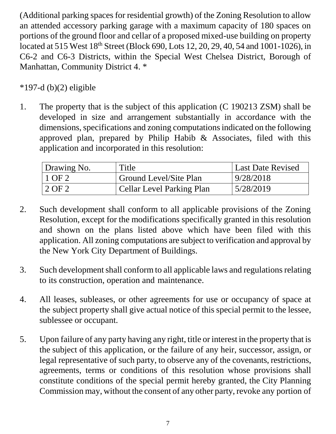(Additional parking spaces for residential growth) of the Zoning Resolution to allow an attended accessory parking garage with a maximum capacity of 180 spaces on portions of the ground floor and cellar of a proposed mixed-use building on property located at 515 West 18<sup>th</sup> Street (Block 690, Lots 12, 20, 29, 40, 54 and 1001-1026), in C6-2 and C6-3 Districts, within the Special West Chelsea District, Borough of Manhattan, Community District 4. \*

## $*197-d (b)(2)$  eligible

1. The property that is the subject of this application (C 190213 ZSM) shall be developed in size and arrangement substantially in accordance with the dimensions, specifications and zoning computations indicated on the following approved plan, prepared by Philip Habib & Associates, filed with this application and incorporated in this resolution:

| Drawing No. | Title                            | <b>Last Date Revised</b> |
|-------------|----------------------------------|--------------------------|
| $1$ OF 2    | <b>Ground Level/Site Plan</b>    | 9/28/2018                |
| 2 OF 2      | <b>Cellar Level Parking Plan</b> | 5/28/2019                |

- 2. Such development shall conform to all applicable provisions of the Zoning Resolution, except for the modifications specifically granted in this resolution and shown on the plans listed above which have been filed with this application. All zoning computations are subject to verification and approval by the New York City Department of Buildings.
- 3. Such development shall conform to all applicable laws and regulations relating to its construction, operation and maintenance.
- 4. All leases, subleases, or other agreements for use or occupancy of space at the subject property shall give actual notice of this special permit to the lessee, sublessee or occupant.
- 5. Upon failure of any party having any right, title or interest in the property that is the subject of this application, or the failure of any heir, successor, assign, or legal representative of such party, to observe any of the covenants, restrictions, agreements, terms or conditions of this resolution whose provisions shall constitute conditions of the special permit hereby granted, the City Planning Commission may, without the consent of any other party, revoke any portion of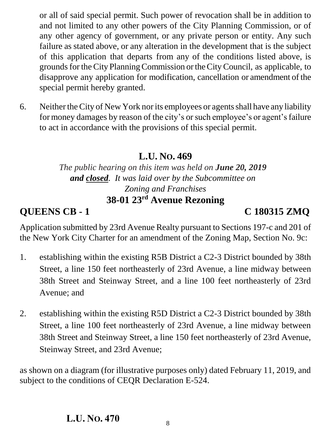or all of said special permit. Such power of revocation shall be in addition to and not limited to any other powers of the City Planning Commission, or of any other agency of government, or any private person or entity. Any such failure as stated above, or any alteration in the development that is the subject of this application that departs from any of the conditions listed above, is grounds for the City Planning Commission or the City Council, as applicable, to disapprove any application for modification, cancellation or amendment of the special permit hereby granted.

6. Neither the City of New York nor its employees or agents shall have any liability for money damages by reason of the city's or such employee's or agent's failure to act in accordance with the provisions of this special permit.

## **L.U. NO. 469**

*The public hearing on this item was held on June 20, 2019 and closed. It was laid over by the Subcommittee on Zoning and Franchises* **38-01 23rd Avenue Rezoning**

**QUEENS CB - 1 C 180315 ZMQ**

Application submitted by 23rd Avenue Realty pursuant to Sections 197-c and 201 of the New York City Charter for an amendment of the Zoning Map, Section No. 9c:

- 1. establishing within the existing R5B District a C2-3 District bounded by 38th Street, a line 150 feet northeasterly of 23rd Avenue, a line midway between 38th Street and Steinway Street, and a line 100 feet northeasterly of 23rd Avenue; and
- 2. establishing within the existing R5D District a C2-3 District bounded by 38th Street, a line 100 feet northeasterly of 23rd Avenue, a line midway between 38th Street and Steinway Street, a line 150 feet northeasterly of 23rd Avenue, Steinway Street, and 23rd Avenue;

as shown on a diagram (for illustrative purposes only) dated February 11, 2019, and subject to the conditions of CEQR Declaration E-524.

#### **L.U. NO. 470**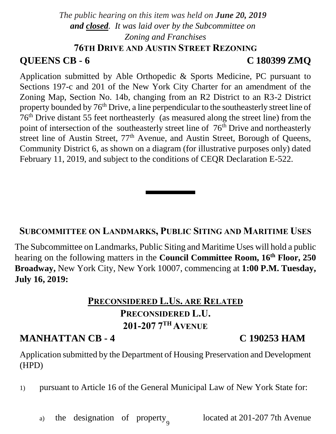## *The public hearing on this item was held on June 20, 2019 and closed. It was laid over by the Subcommittee on Zoning and Franchises* **76TH DRIVE AND AUSTIN STREET REZONING**

## **QUEENS CB - 6 C 180399 ZMQ**

Application submitted by Able Orthopedic & Sports Medicine, PC pursuant to Sections 197-c and 201 of the New York City Charter for an amendment of the Zoning Map, Section No. 14b, changing from an R2 District to an R3-2 District property bounded by 76<sup>th</sup> Drive, a line perpendicular to the southeasterly street line of 76th Drive distant 55 feet northeasterly (as measured along the street line) from the point of intersection of the southeasterly street line of 76<sup>th</sup> Drive and northeasterly street line of Austin Street,  $77<sup>th</sup>$  Avenue, and Austin Street, Borough of Queens, Community District 6, as shown on a diagram (for illustrative purposes only) dated February 11, 2019, and subject to the conditions of CEQR Declaration E-522.

### **SUBCOMMITTEE ON LANDMARKS, PUBLIC SITING AND MARITIME USES**

The Subcommittee on Landmarks, Public Siting and Maritime Uses will hold a public hearing on the following matters in the **Council Committee Room, 16th Floor, 250 Broadway,** New York City, New York 10007, commencing at **1:00 P.M. Tuesday, July 16, 2019:**

## **PRECONSIDERED L.US. ARE RELATED PRECONSIDERED L.U. 201-207 7 TH AVENUE**

## **MANHATTAN CB - 4 C 190253 HAM**

Application submitted by the Department of Housing Preservation and Development (HPD)

1) pursuant to Article 16 of the General Municipal Law of New York State for:

9 a) the designation of property located at  $201-207$  7th Avenue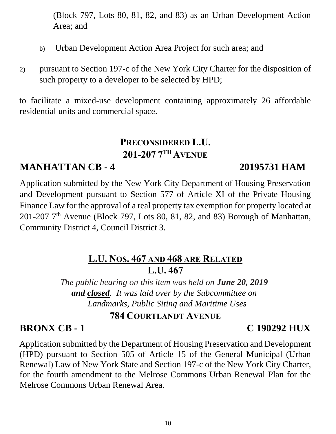(Block 797, Lots 80, 81, 82, and 83) as an Urban Development Action Area; and

- b) Urban Development Action Area Project for such area; and
- 2) pursuant to Section 197-c of the New York City Charter for the disposition of such property to a developer to be selected by HPD;

to facilitate a mixed-use development containing approximately 26 affordable residential units and commercial space.

## **PRECONSIDERED L.U. 201-207 7 TH AVENUE**

## **MANHATTAN CB - 4 20195731 HAM**

Application submitted by the New York City Department of Housing Preservation and Development pursuant to Section 577 of Article XI of the Private Housing Finance Law for the approval of a real property tax exemption for property located at  $201-207$   $7<sup>th</sup>$  Avenue (Block 797, Lots 80, 81, 82, and 83) Borough of Manhattan, Community District 4, Council District 3.

## **L.U. NOS. 467 AND 468 ARE RELATED L.U. 467**

*The public hearing on this item was held on June 20, 2019 and closed. It was laid over by the Subcommittee on Landmarks, Public Siting and Maritime Uses*

### **784 COURTLANDT AVENUE**

## **BRONX CB - 1 C 190292 HUX**

Application submitted by the Department of Housing Preservation and Development (HPD) pursuant to Section 505 of Article 15 of the General Municipal (Urban Renewal) Law of New York State and Section 197-c of the New York City Charter, for the fourth amendment to the Melrose Commons Urban Renewal Plan for the Melrose Commons Urban Renewal Area.